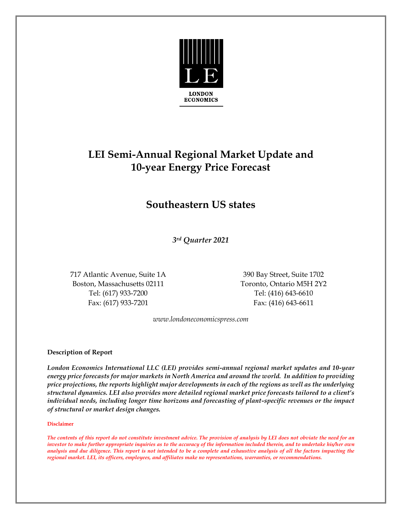

# **LEI Semi-Annual Regional Market Update and 10-year Energy Price Forecast**

## **Southeastern US states**

*3rd Quarter 2021*

717 Atlantic Avenue, Suite 1A 390 Bay Street, Suite 1702 Boston, Massachusetts 02111 Toronto, Ontario M5H 2Y2 Tel: (617) 933-7200 Tel: (416) 643-6610 Fax: (617) 933-7201 Fax: (416) 643-6611

*www.londoneconomicspress.com* 

### **Description of Report**

*London Economics International LLC (LEI) provides semi-annual regional market updates and 10-year energy price forecasts for major markets in North America and around the world. In addition to providing price projections, the reports highlight major developments in each of the regions as well as the underlying structural dynamics. LEI also provides more detailed regional market price forecasts tailored to a client's individual needs, including longer time horizons and forecasting of plant-specific revenues or the impact of structural or market design changes.*

#### **Disclaimer**

*The contents of this report do not constitute investment advice. The provision of analysis by LEI does not obviate the need for an investor to make further appropriate inquiries as to the accuracy of the information included therein, and to undertake his/her own analysis and due diligence. This report is not intended to be a complete and exhaustive analysis of all the factors impacting the regional market. LEI, its officers, employees, and affiliates make no representations, warranties, or recommendations.*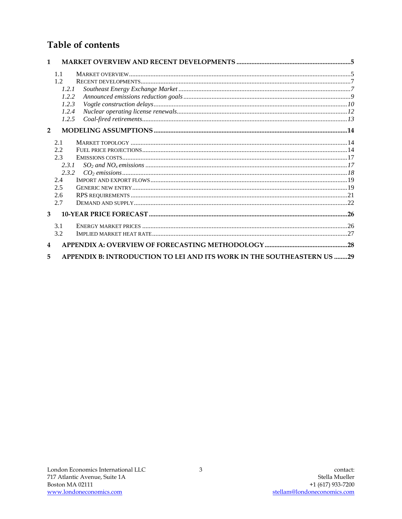### Table of contents

| $\mathbf{1}$   |                                                                        |
|----------------|------------------------------------------------------------------------|
| 1.1            |                                                                        |
| 1.2            |                                                                        |
| 1.2.1          |                                                                        |
| 1.2.2          |                                                                        |
| 1.2.3          |                                                                        |
| 1.2.4          |                                                                        |
| 1.2.5          |                                                                        |
| $\overline{2}$ |                                                                        |
| 2.1            |                                                                        |
| 2.2            |                                                                        |
| 2.3            |                                                                        |
| 2.3.1          |                                                                        |
| 2.3.2          |                                                                        |
| 2.4            |                                                                        |
| 2.5            |                                                                        |
| 2.6            |                                                                        |
| 2.7            |                                                                        |
| 3              |                                                                        |
| 3.1            |                                                                        |
| 3.2            |                                                                        |
| 4              |                                                                        |
| 5              | APPENDIX B: INTRODUCTION TO LEI AND ITS WORK IN THE SOUTHEASTERN US 29 |